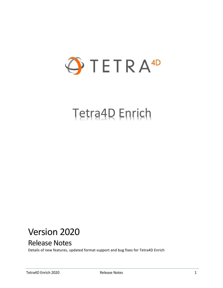

# Tetra4D Enrich

## Version 2020

## Release Notes

Details of new features, updated format support and bug fixes for Tetra4D Enrich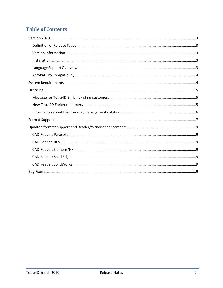## **Table of Contents**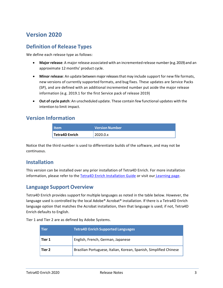## <span id="page-2-0"></span>**Version 2020**

#### <span id="page-2-1"></span>**Definition of Release Types**

We define each release type as follows:

- **Major release**: A major release associated with an incremented release number (e.g. 2019) and an approximate 12 months' product cycle.
- **Minor release**: An update betweenmajorreleasesthat may include support for new file formats, new versions of currently supported formats, and bug fixes. These updates are Service Packs (SP), and are defined with an additional incremented number put aside the major release information (e.g. 2019.1 for the first Service pack of release 2019)
- **Out of cycle patch**: An unscheduled update. These contain few functional updates with the intention to limit impact.

#### <span id="page-2-2"></span>**Version Information**

| <b>Item</b>                 | <b>Version Number</b> |
|-----------------------------|-----------------------|
| <sup>1</sup> Tetra4D Enrich | 2020.0.x              |

Notice that the third number is used to differentiate builds of the software, and may not be continuous.

#### <span id="page-2-3"></span>**Installation**

This version can be installed over any prior installation of Tetra4D Enrich. For more installation information, please refer to the Tetra4D Enrich [Installation Guide](http://www.tetra4d.com/documentation/) or visit our [Learning page.](http://tetra4d.com/learning/)

#### <span id="page-2-4"></span>**Language Support Overview**

Tetra4D Enrich provides support for multiple languages as noted in the table below. However, the language used is controlled by the local Adobe® Acrobat® installation. If there is a Tetra4D Enrich language option that matches the Acrobat installation, then that language is used; if not, Tetra4D Enrich defaults to English.

Tier 1 and Tier 2 are as defined by Adobe Systems.

| <b>Tier</b> | <b>Tetra4D Enrich Supported Languages</b>                          |
|-------------|--------------------------------------------------------------------|
| Tier 1      | English, French, German, Japanese                                  |
| Tier 2      | Brazilian Portuguese, Italian, Korean, Spanish, Simplified Chinese |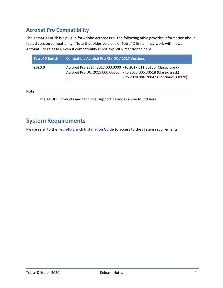### <span id="page-3-0"></span>**Acrobat Pro Compatibility**

The Tetra4D Enrich is a plug-in for Adobe Acrobat Pro. The following table provides information about tested version compatibility. Note that older versions of Tetra4D Enrich may work with newer Acrobat Pro releases, even if compatibility is not explicitly mentioned here.

| Tetra4D Enrich | Compatible Acrobat Pro XI / DC / 2017 Versions                                                                                                                                         |
|----------------|----------------------------------------------------------------------------------------------------------------------------------------------------------------------------------------|
| 2020.0         | Acrobat Pro 2017: 2017.000.0000 - to 2017.011.30166 (Classic track)<br>Acrobat Pro DC: 2015.000.00000 - to 2015.006.30518 (Classic track)<br>$-$ to 2020.006.20042 (Continuous track)) |

Note:

The ADOBE Products and technical support periods can be found [here.](https://helpx.adobe.com/support/programs/eol-matrix.html)

## <span id="page-3-1"></span>**System Requirements**

Please refer to the [Tetra4D Enrich Installation Guide](http://www.tetra4d.com/documentation/) to access to the system requirements.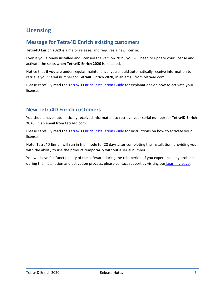## <span id="page-4-0"></span>**Licensing**

#### <span id="page-4-1"></span>**Message for Tetra4D Enrich existing customers**

**Tetra4D Enrich 2020** is a major release, and requires a new license.

Even if you already installed and licensed the version 2019, you will need to update your license and activate the seats when **Tetra4D Enrich 2020** is installed.

Notice that if you are under regular maintenance, you should automatically receive information to retrieve your serial number for **Tetra4D Enrich 2020,** in an email from tetra4d.com.

Please carefully read the [Tetra4D Enrich Installation Guide](http://www.tetra4d.com/documentation/) for explanations on how to activate your licenses.

#### <span id="page-4-2"></span>**New Tetra4D Enrich customers**

You should have automatically received information to retrieve your serial number for **Tetra4D Enrich 2020,** in an email from tetra4d.com.

Please carefully read the [Tetra4D Enrich Installation Guide](http://www.tetra4d.com/documentation/) for instructions on how to activate your licenses.

Note: Tetra4D Enrich will run in trial mode for 28 days after completing the installation, providing you with the ability to use the product temporarily without a serial number.

You will have full functionality of the software during the trial period. If you experience any problem during the installation and activation process, please contact support by visiting our [Learning page.](http://tetra4d.com/learning/)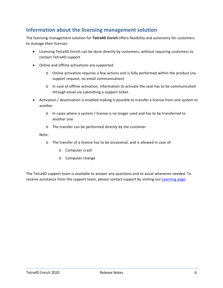#### <span id="page-5-0"></span>**Information about the licensing management solution**

The licensing management solution for **Tetra4D Enrich** offers flexibility and autonomy for customers to manage their licenses:

- Licensing Tetra4D Enrich can be done directly by customers, without requiring customers to contact Tetra4D support
- Online and offline activations are supported
	- o Online activation requires a few actions and is fully performed within the product (no support request, no email communication)
	- o In case of offline activation, information to activate the seat has to be communicated through email via submitting a support ticket.
- Activation / deactivation is enabled making it possible to transfer a license from one system to another
	- o In cases where a system / license is no longer used and has to be transferred to another one
	- o The transfer can be performed directly by the customer

#### Note:

- o The transfer of a license has to be occasional, and is allowed in case of:
	- o Computer crash
	- o Computer change

The Tetra4D support team is available to answer any questions and to assist whenever needed. To receive assistance from the support team, please contact support by visiting our [Learning page.](http://tetra4d.com/learning/)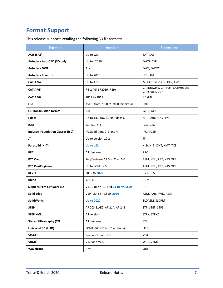## <span id="page-6-0"></span>**Format Support**

This release supports **reading** the following 3D file formats:

| <b>Format</b>                            | <b>Version</b>                        | <b>Extensions</b>                                 |
|------------------------------------------|---------------------------------------|---------------------------------------------------|
| <b>ACIS (SAT)</b>                        | Up to v29                             | SAT, SAB                                          |
| Autodesk AutoCAD (3D only)               | Up to v2019                           | DWG, DXF                                          |
| <b>Autodesk DWF</b>                      | Any                                   | DWF, DWFX                                         |
| <b>Autodesk Inventor</b>                 | Up to 2020                            | IPT, IAM                                          |
| <b>CATIA V4</b>                          | Up to 4.2.5                           | MODEL, SESSION, DLV, EXP                          |
| <b>CATIA V5</b>                          | R4 to V5-6R2019 (R29)                 | CATDrawing, CATPart, CATProduct,<br>CATShape, CGR |
| <b>CATIA V6</b>                          | 2011 to 2013                          | 3DXML                                             |
| <b>FBX</b>                               | ASCII: from 7100 to 7400. Binary: all | <b>FBX</b>                                        |
| <b>GL Transmission format</b>            | 2.0                                   | GLTF, GLB                                         |
| I-deas                                   | Up to 13.x (NX 5), NX I-deas 6        | MF1, ARC, UNV, PKG                                |
| <b>IGES</b>                              | 5.1, 5.2, 5.3                         | IGS, IGES                                         |
| <b>Industry Foundation Classes (IFC)</b> | IFC2x Editions 2, 3 and 4             | IFC, IFCZIP                                       |
| JT                                       | Up to version 10.2                    | JT                                                |
| Parasolid (X_T)                          | Up to v32                             | X_B, X_T, XMT, XMT_TXT                            |
| <b>PRC</b>                               | <b>All Versions</b>                   | <b>PRC</b>                                        |
| <b>PTC Creo</b>                          | Pro/Engineer 19.0 to Creo 6.0         | ASM, NEU, PRT, XAS, XPR                           |
| <b>PTC Pro/Engineer</b>                  | Up to Wildfire 5                      | ASM, NEU, PRT, XAS, XPR                           |
| <b>REVIT</b>                             | 2015 to 2020                          | RVT, RFA                                          |
| <b>Rhino</b>                             | 4, 5, 6                               | 3DM                                               |
| <b>Siemens PLM Software NX</b>           | V11.0 to NX 12, and up to NX 1899     | <b>PRT</b>                                        |
| <b>Solid Edge</b>                        | $V19 - 20$ , ST - ST10, 2020          | ASM, PAR, PWD, PSM                                |
| <b>SolidWorks</b>                        | <b>Up to 2020</b>                     | SLDASM, SLDPRT                                    |
| <b>STEP</b>                              | AP 203 E1/E2, AP 214, AP 242          | STP, STEP, STPZ                                   |
| <b>STEP XML</b>                          | All versions                          | STPX, STPXZ                                       |
| <b>Stereo Lithography (STL)</b>          | All Versions                          | <b>STL</b>                                        |
| Universal 3D (U3D)                       | ECMA-363 (1st to 3rd editions)        | U3D                                               |
| <b>VDA-FS</b>                            | Version 1.0 and 2.0                   | <b>VDA</b>                                        |
| <b>VRML</b>                              | V1.0 and V2.0                         | WRL, VRML                                         |
| Wavefront                                | Any                                   | OBJ                                               |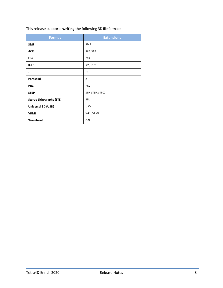| This release supports writing the following 3D file formats: |  |  |
|--------------------------------------------------------------|--|--|
|--------------------------------------------------------------|--|--|

| <b>Format</b>                   | <b>Extensions</b> |
|---------------------------------|-------------------|
| 3MF                             | 3MF               |
| <b>ACIS</b>                     | SAT, SAB          |
| <b>FBX</b>                      | <b>FBX</b>        |
| <b>IGES</b>                     | IGS, IGES         |
| JT                              | JT                |
| Parasolid                       | $X_T$             |
| <b>PRC</b>                      | PRC               |
| <b>STEP</b>                     | STP, STEP, STP.Z  |
| <b>Stereo Lithography (STL)</b> | STL               |
| Universal 3D (U3D)              | U3D               |
| <b>VRML</b>                     | WRL, VRML         |
| Wavefront                       | OBJ               |